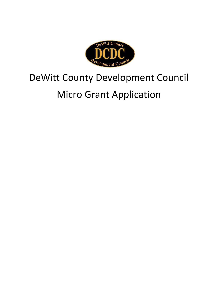

## DeWitt County Development Council Micro Grant Application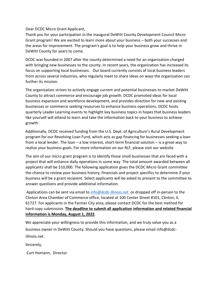## Dear DCDC Micro Grant Applicant,

Thank you for your participation in the inaugural DeWitt County Development Council Micro Grant program! We are excited to learn more about your business – both your successes and the areas for improvement. The program's goal is to help your business grow and thrive in DeWitt County for years to come.

DCDC was founded in 2007 after the county determined a need for an organization charged with bringing new businesses to the county. In recent years, the organization has increased its focus on supporting local businesses. Our board currently consists of local business leaders from across several industries, who regularly meet to share ideas on ways the organization can further its mission.

The organization strives to actively engage current and potential businesses to market DeWitt County to attract commerce and encourage job growth. DCDC promoted ideas for local business expansion and workforce development, and provides direction for new and existing businesses or commerce seeking resources to enhance business operations. DCDC hosts quarterly Leader Learning events to highlight key business topics in hopes that business leaders like yourself will attend to learn and take the information back to your business to achieve growth.

Additionally, DCDC received funding from the U.S. Dept. of Agriculture's Rural Development program for our Revolving Loan Fund, which acts as gap financing for businesses seeking a loan from a local lender. The loan – a low interest, short-term financial solution – is a great way to realize your business goals. For more information on our RLF, please visit our website.

The aim of our micro grant program is to identify those small businesses that are faced with a project that will enhance daily operations in some way. The total amount awarded between all applicants shall be \$10,000. The following application gives the DCDC Micro Grant committee the chance to review your business history, financials and project specifics to determine if your business will be a grant recipient. Select applicants will be asked to present to the committee to answer questions and provide additional information.

Applications can be sent via email to [info@dcdc-illinois.net](mailto:info@dcdc-illinois.net) or dropped off in-person to the Clinton Area Chamber of Commerce office, located at 100 Center Street #101, Clinton, IL 61727. For applicants in the Farmer City area, please contact DCDC for the best method for hard copy submission. **The deadline to submit all application information and related financial information is Monday, August 1, 2022**.

We appreciate your willingness to provide this information, and we truly value you as a business owner in DeWitt County. Should you have questions, please email info@dcdcillinois.net.

Sincerely,

Curt Homann, Director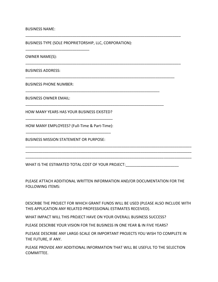## BUSINESS NAME:

BUSINESS TYPE (SOLE PROPRIETORSHIP, LLC, CORPORATION):

\_\_\_\_\_\_\_\_\_\_\_\_\_\_\_\_\_\_\_\_\_\_\_\_\_\_\_\_\_\_\_\_\_\_\_\_\_\_\_\_\_\_\_\_\_\_\_\_\_\_\_\_\_\_\_\_\_\_\_\_\_\_\_\_\_\_\_\_\_\_\_\_\_

\_\_\_\_\_\_\_\_\_\_\_\_\_\_\_\_\_\_\_\_\_\_\_\_\_\_\_\_\_\_\_\_\_\_\_\_\_\_\_\_\_\_\_\_\_\_\_\_\_\_\_\_\_\_\_\_\_\_\_\_\_\_\_\_\_\_\_\_\_\_\_\_\_

\_\_\_\_\_\_\_\_\_\_\_\_\_\_\_\_\_\_\_\_\_\_\_\_\_\_\_\_\_\_\_\_\_\_\_\_\_\_\_\_\_\_\_\_\_\_\_\_\_\_\_\_\_\_\_\_\_\_\_\_\_\_\_\_\_\_\_\_\_\_

\_\_\_\_\_\_\_\_\_\_\_\_\_\_\_\_\_\_\_\_\_\_\_\_\_\_\_\_\_\_\_\_\_\_\_\_\_\_\_\_\_\_\_\_\_\_\_\_\_\_\_\_\_\_\_\_\_\_\_\_\_\_\_

\_\_\_\_\_\_\_\_\_\_\_\_\_\_\_\_\_\_\_\_\_\_\_\_\_\_\_\_\_\_\_\_\_\_\_\_\_\_\_\_\_\_\_\_\_\_\_\_\_\_\_\_\_\_\_\_\_\_\_\_\_\_\_\_\_

OWNER NAME(S):

BUSINESS ADDRESS:

BUSINESS PHONE NUMBER:

\_\_\_\_\_\_\_\_\_\_\_\_\_\_\_\_\_\_\_\_\_\_\_\_\_\_\_\_\_\_

BUSINESS OWNER EMAIL:

HOW MANY YEARS HAS YOUR BUSINESS EXISTED? \_\_\_\_\_\_\_\_\_\_\_\_\_\_\_\_\_\_\_\_\_\_\_\_\_\_\_\_\_\_\_\_\_\_\_\_\_\_\_\_\_

HOW MANY EMPLOYEES? (Full-Time & Part-Time): \_\_\_\_\_\_\_\_\_\_\_\_\_\_\_\_\_\_\_\_\_\_\_\_\_\_\_\_\_\_\_\_\_\_\_\_\_\_\_\_

BUSINESS MISSION STATEMENT OR PURPOSE:

WHAT IS THE ESTIMATED TOTAL COST OF YOUR PROJECT:

PLEASE ATTACH ADDITIONAL WRITTEN INFORMATION AND/OR DOCUMENTATION FOR THE FOLLOWING ITEMS:

\_\_\_\_\_\_\_\_\_\_\_\_\_\_\_\_\_\_\_\_\_\_\_\_\_\_\_\_\_\_\_\_\_\_\_\_\_\_\_\_\_\_\_\_\_\_\_\_\_\_\_\_\_\_\_\_\_\_\_\_\_\_\_\_\_\_\_\_\_\_\_\_\_\_\_\_\_\_ \_\_\_\_\_\_\_\_\_\_\_\_\_\_\_\_\_\_\_\_\_\_\_\_\_\_\_\_\_\_\_\_\_\_\_\_\_\_\_\_\_\_\_\_\_\_\_\_\_\_\_\_\_\_\_\_\_\_\_\_\_\_\_\_\_\_\_\_\_\_\_\_\_\_\_\_\_\_ \_\_\_\_\_\_\_\_\_\_\_\_\_\_\_\_\_\_\_\_\_\_\_\_\_\_\_\_\_\_\_\_\_\_\_\_\_\_\_\_\_\_\_\_\_\_\_\_\_\_\_\_\_\_\_\_\_\_\_\_\_\_\_\_\_\_\_\_\_\_\_\_\_\_\_\_\_\_

DESCRIBE THE PROJECT FOR WHICH GRANT FUNDS WILL BE USED (PLEASE ALSO INCLUDE WITH THIS APPLICATION ANY RELATED PROFESSIONAL ESTIMATES RECEIVED).

WHAT IMPACT WILL THIS PROJECT HAVE ON YOUR OVERALL BUSINESS SUCCESS?

PLEASE DESCRIBE YOUR VISION FOR THE BUSINESS IN ONE YEAR & IN FIVE YEARS?

PLESASE DESCRIBE ANY LARGE-SCALE OR IMPORTANT PROJECTS YOU WISH TO COMPLETE IN THE FUTURE, IF ANY.

PLEASE PROVIDE ANY ADDITIONAL INFORMATION THAT WILL BE USEFUL TO THE SELECTION COMMITTEE.